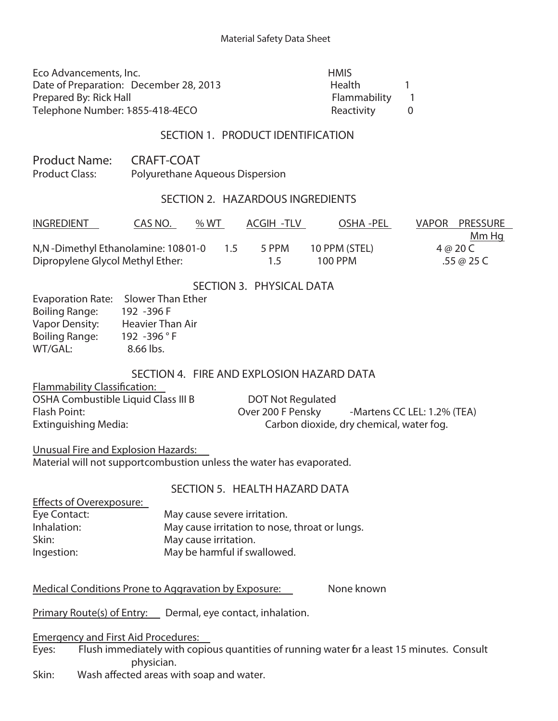| Eco Advancements, Inc.                 | <b>HMIS</b>   |  |
|----------------------------------------|---------------|--|
| Date of Preparation: December 28, 2013 | <b>Health</b> |  |
| Prepared By: Rick Hall                 | Flammability  |  |
| Telephone Number: 1855-418-4ECO        | Reactivity    |  |
| SECTION 1. PRODUCT IDENTIFICATION      |               |  |

Product Name: CRAFT-COAT Product Class: Polyurethane Aqueous Dispersion

#### **SECTION 2. HAZARDOUS INGREDIENTS**

| <b>INGREDIENT</b>                  | CAS NO. | %WT |     | ACGIH -TLV | OSHA -PEL     | VAPOR PRESSURE |  |
|------------------------------------|---------|-----|-----|------------|---------------|----------------|--|
|                                    |         |     |     |            |               | Mm Hq          |  |
| N,N-Dimethyl Ethanolamine: 10801-0 |         |     | 1.5 | 5 PPM      | 10 PPM (STEL) | 4 @ 20 C       |  |
| Dipropylene Glycol Methyl Ether:   |         |     |     | 15         | 100 PPM       | .55 @ 25 C     |  |

#### **SECTION 3. PHYSICAL DATA**

| <b>Evaporation Rate:</b> | <b>Slower Than Ether</b> |
|--------------------------|--------------------------|
| <b>Boiling Range:</b>    | 192 - 396 F              |
| <b>Vapor Density:</b>    | <b>Heavier Than Air</b>  |
| <b>Boiling Range:</b>    | 192 -396 °F              |
| WT/GAL:                  | 8.66 lbs.                |
|                          |                          |

# **SECTION 4. FIRE AND EXPLOSION HAZARD DATA**

**Flammability Classification:**

OSHA Combustible Liquid Class III B DOT Not Regulated

Flash Point: CLEL: 1.2% (TEA) Extinguishing Media: Carbon dioxide, dry chemical, water fog.

Flammability 1 Reactivity 0

**Unusual Fire and Explosion Hazards:** Material will not support combustion unless the water has evaporated.

#### **SECTION 5. HEALTH HAZARD DATA**

| Effects of Overexposure: |                                                |
|--------------------------|------------------------------------------------|
| Eye Contact:             | May cause severe irritation.                   |
| Inhalation:              | May cause irritation to nose, throat or lungs. |
| Skin:                    | May cause irritation.                          |
| Ingestion:               | May be harmful if swallowed.                   |

**Medical Conditions Prone to Aggravation by Exposure:** None known

**Primary Route(s) of Entry:** Dermal, eye contact, inhalation.

**Emergency and First Aid Procedures:**

Eyes: Flush immediately with copious quantities of running water 6r a least 15 minutes. Consult physician.

Skin: Wash affected areas with soap and water.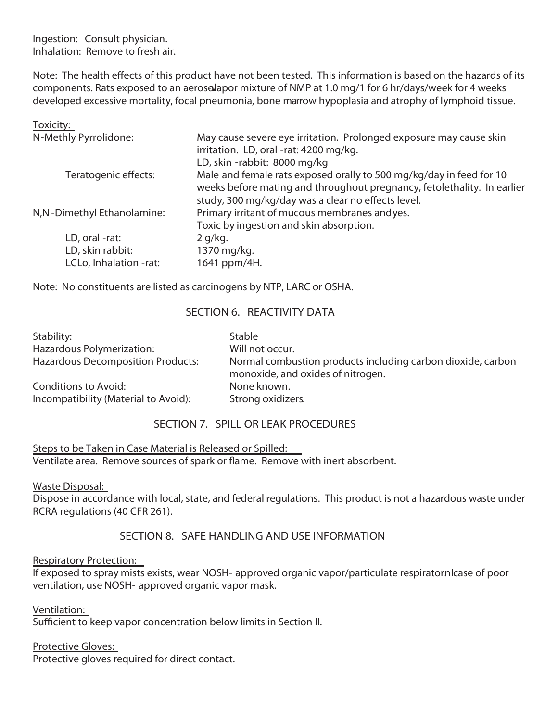Ingestion: Consult physician. Inhalation: Remove to fresh air.

Note: The health effects of this product have not been tested. This information is based on the hazards of its components. Rats exposed to an aerosolapor mixture of NMP at 1.0 mg/1 for 6 hr/days/week for 4 weeks developed excessive mortality, focal pneumonia, bone marrow hypoplasia and atrophy of lymphoid tissue.

| Toxicity:                  |                                                                                                                                                                                                      |
|----------------------------|------------------------------------------------------------------------------------------------------------------------------------------------------------------------------------------------------|
| N-Methly Pyrrolidone:      | May cause severe eye irritation. Prolonged exposure may cause skin<br>irritation. LD, oral -rat: 4200 mg/kg.                                                                                         |
|                            | LD, skin -rabbit: 8000 mg/kg                                                                                                                                                                         |
| Teratogenic effects:       | Male and female rats exposed orally to 500 mg/kg/day in feed for 10<br>weeks before mating and throughout pregnancy, fetolethality. In earlier<br>study, 300 mg/kg/day was a clear no effects level. |
| N,N-Dimethyl Ethanolamine: | Primary irritant of mucous membranes andyes.<br>Toxic by ingestion and skin absorption.                                                                                                              |
| LD, oral -rat:             | $2$ g/kg.                                                                                                                                                                                            |
| LD, skin rabbit:           | 1370 mg/kg.                                                                                                                                                                                          |
| LCLo, Inhalation -rat:     | 1641 ppm/4H.                                                                                                                                                                                         |

Note: No constituents are listed as carcinogens by NTP, LARC or OSHA.

# **SECTION 6. REACTIVITY DATA**

| Stability:                               | <b>Stable</b>                                                                                    |
|------------------------------------------|--------------------------------------------------------------------------------------------------|
| Hazardous Polymerization:                | Will not occur.                                                                                  |
| <b>Hazardous Decomposition Products:</b> | Normal combustion products including carbon dioxide, carbon<br>monoxide, and oxides of nitrogen. |
| Conditions to Avoid:                     | None known.                                                                                      |
| Incompatibility (Material to Avoid):     | Strong oxidizers                                                                                 |

# **SECTION 7. SPILL OR LEAK PROCEDURES**

**Steps to be Taken in Case Material is Released or Spilled:** Ventilate area. Remove sources of spark or flame. Remove with inert absorbent.

**Waste Disposal:**

Dispose in accordance with local, state, and federal regulations. This product is not a hazardous waste under RCRA regulations (40 CFR 261).

# **SECTION 8. SAFE HANDLING AND USE INFORMATION**

**Respiratory Protection:**

If exposed to spray mists exists, wear NOSH- approved organic vapor/particulate respiratornlcase of poor ventilation, use NOSH- approved organic vapor mask.

**Ventilation:**

Sufficient to keep vapor concentration below limits in Section II.

**Protective Gloves:**

Protective gloves required for direct contact.